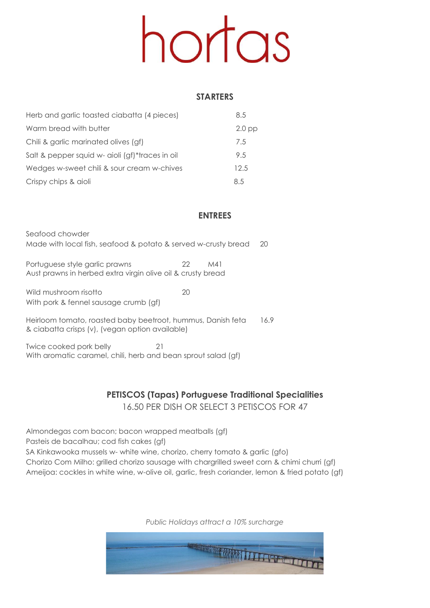# hortas

#### **STARTERS**

| Herb and garlic toasted ciabatta (4 pieces)     | 8.5      |
|-------------------------------------------------|----------|
| Warm bread with butter                          | $2.0$ pp |
| Chili & garlic marinated olives (gf)            | 7.5      |
| Salt & pepper squid w- aioli (gf)*traces in oil | 9.5      |
| Wedges w-sweet chili & sour cream w-chives      | 12.5     |
| Crispy chips & aioli                            | 8.5      |

### **ENTREES**

Seafood chowder Made with local fish, seafood & potato & served w-crusty bread 20

Portuguese style garlic prawns 22 M41 Aust prawns in herbed extra virgin olive oil & crusty bread

Wild mushroom risotto **20** With pork & fennel sausage crumb (gf)

Heirloom tomato, roasted baby beetroot, hummus, Danish feta 16.9 & ciabatta crisps (v), (vegan option available)

Twice cooked pork belly 21 With aromatic caramel, chili, herb and bean sprout salad (gf)

### **PETISCOS (Tapas) Portuguese Traditional Specialities** 16.50 PER DISH OR SELECT 3 PETISCOS FOR 47

Almondegas com bacon; bacon wrapped meatballs (gf) Pasteis de bacalhau; cod fish cakes (gf) SA Kinkawooka mussels w- white wine, chorizo, cherry tomato & garlic (gfo) Chorizo Com Milho: grilled chorizo sausage with chargrilled sweet corn & chimi churri (gf)

Ameijoa: cockles in white wine, w-olive oil, garlic, fresh coriander, lemon & fried potato (gf)

*Public Holidays attract a 10% surcharge*